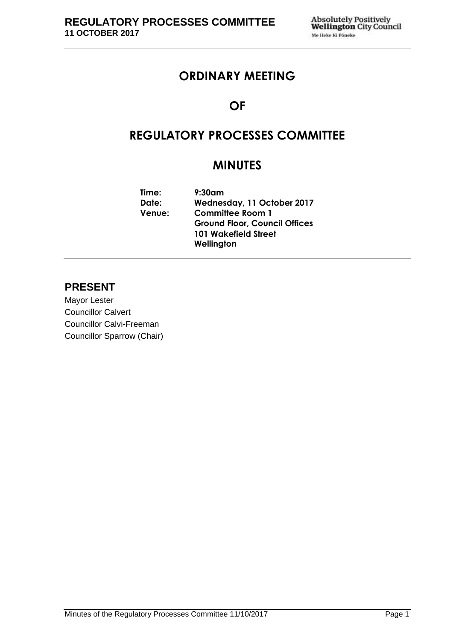## **ORDINARY MEETING**

## **OF**

# **REGULATORY PROCESSES COMMITTEE**

# **MINUTES**

**Time: 9:30am Date: Wednesday, 11 October 2017 Venue: Committee Room 1 Ground Floor, Council Offices 101 Wakefield Street Wellington**

### **PRESENT**

Mayor Lester Councillor Calvert Councillor Calvi-Freeman Councillor Sparrow (Chair)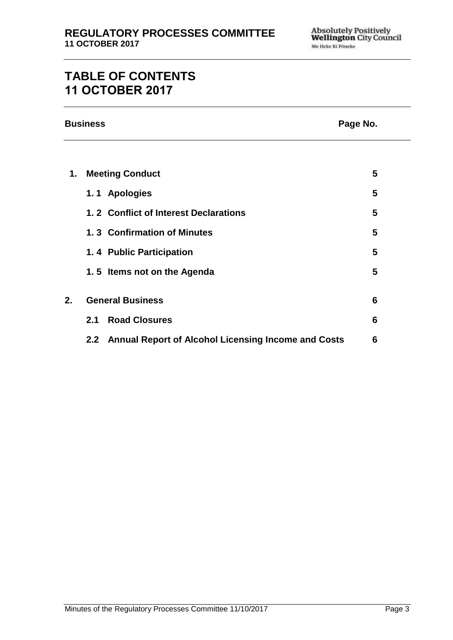# **TABLE OF CONTENTS 11 OCTOBER 2017**

|    | <b>Business</b><br>Page No.                             |   |
|----|---------------------------------------------------------|---|
|    |                                                         |   |
| 1. | <b>Meeting Conduct</b>                                  | 5 |
|    | 1.1 Apologies                                           | 5 |
|    | 1.2 Conflict of Interest Declarations                   | 5 |
|    | 1.3 Confirmation of Minutes                             | 5 |
|    | 1.4 Public Participation                                | 5 |
|    | 1.5 Items not on the Agenda                             | 5 |
| 2. | <b>General Business</b>                                 | 6 |
|    | <b>Road Closures</b><br>2.1                             | 6 |
|    | 2.2 Annual Report of Alcohol Licensing Income and Costs | 6 |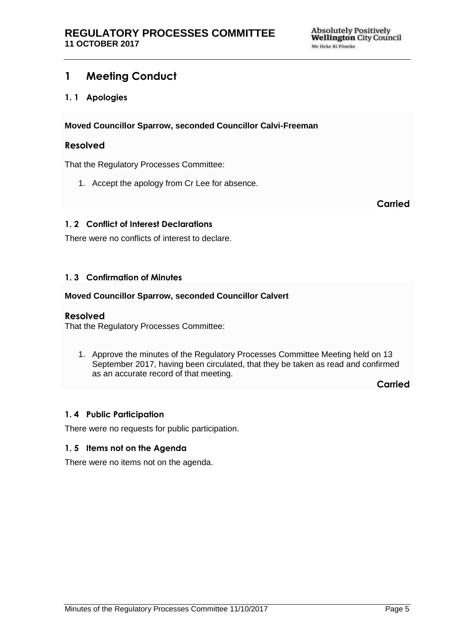### <span id="page-4-0"></span>**1 Meeting Conduct**

#### <span id="page-4-1"></span>**1. 1 Apologies**

**Moved Councillor Sparrow, seconded Councillor Calvi-Freeman**

#### **Resolved**

That the Regulatory Processes Committee:

1. Accept the apology from Cr Lee for absence.

**Carried**

#### <span id="page-4-2"></span>**1. 2 Conflict of Interest Declarations**

There were no conflicts of interest to declare.

#### <span id="page-4-3"></span>**1. 3 Confirmation of Minutes**

#### **Moved Councillor Sparrow, seconded Councillor Calvert**

#### **Resolved**

That the Regulatory Processes Committee:

1. Approve the minutes of the Regulatory Processes Committee Meeting held on 13 September 2017, having been circulated, that they be taken as read and confirmed as an accurate record of that meeting.

**Carried**

#### <span id="page-4-5"></span>**1. 4 Public Participation**

There were no requests for public participation.

#### <span id="page-4-4"></span>**1. 5 Items not on the Agenda**

<span id="page-4-6"></span>There were no items not on the agenda.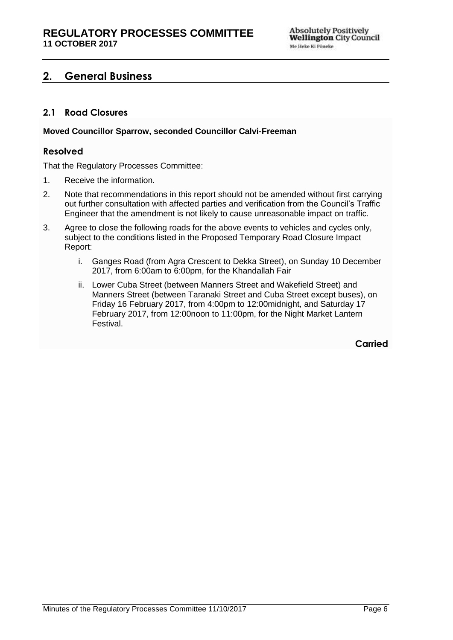### **2. General Business**

### <span id="page-5-0"></span>**2.1 Road Closures**

#### **Moved Councillor Sparrow, seconded Councillor Calvi-Freeman**

#### **Resolved**

That the Regulatory Processes Committee:

- 1. Receive the information.
- 2. Note that recommendations in this report should not be amended without first carrying out further consultation with affected parties and verification from the Council's Traffic Engineer that the amendment is not likely to cause unreasonable impact on traffic.
- <span id="page-5-1"></span>3. Agree to close the following roads for the above events to vehicles and cycles only, subject to the conditions listed in the Proposed Temporary Road Closure Impact Report:
	- i. Ganges Road (from Agra Crescent to Dekka Street), on Sunday 10 December 2017, from 6:00am to 6:00pm, for the Khandallah Fair
	- ii. Lower Cuba Street (between Manners Street and Wakefield Street) and Manners Street (between Taranaki Street and Cuba Street except buses), on Friday 16 February 2017, from 4:00pm to 12:00midnight, and Saturday 17 February 2017, from 12:00noon to 11:00pm, for the Night Market Lantern Festival.

**Carried**